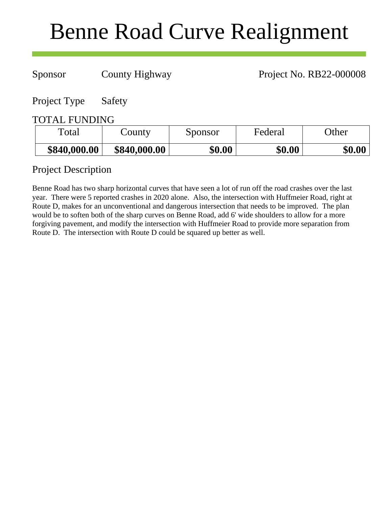# Benne Road Curve Realignment

Sponsor County Highway Project No. RB22-000008

Project Type Safety

# TOTAL FUNDING

| Total        | County       | Sponsor | Federal | <b>Other</b> |
|--------------|--------------|---------|---------|--------------|
| \$840,000.00 | \$840,000.00 | \$0.00  | \$0.00  | \$0.00       |

# Project Description

Benne Road has two sharp horizontal curves that have seen a lot of run off the road crashes over the last year. There were 5 reported crashes in 2020 alone. Also, the intersection with Huffmeier Road, right at Route D, makes for an unconventional and dangerous intersection that needs to be improved. The plan would be to soften both of the sharp curves on Benne Road, add 6' wide shoulders to allow for a more forgiving pavement, and modify the intersection with Huffmeier Road to provide more separation from Route D. The intersection with Route D could be squared up better as well.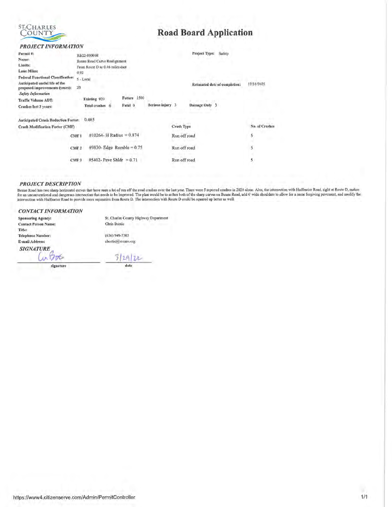

# **Road Board Application**

### **PROJECT INFORMATION**

| Permit #:                                                        | RB22-000008                                       |                |                     | Project Type:<br>Safety.      |                |
|------------------------------------------------------------------|---------------------------------------------------|----------------|---------------------|-------------------------------|----------------|
| Name:                                                            | Benne Road Curve Realignment                      |                |                     |                               |                |
| Limits:                                                          | From Route D to 0.46 miles east                   |                |                     |                               |                |
| Lane Miles:                                                      | 0.92                                              |                |                     |                               |                |
| <b>Federal Functional Classification:</b>                        | 5 - Local                                         |                |                     |                               |                |
| Anticipated useful life of the<br>proposed improvements (years): | 20                                                |                |                     | Estimated date of completion: | 12/31/2025     |
| <b>Safety Information</b>                                        |                                                   |                |                     |                               |                |
| <b>Traffic Volume ADT:</b>                                       | Existing 920                                      | 1500<br>Future |                     |                               |                |
| Crashes last 3 years:                                            | <b>Total crashes</b>                              | Fatal 0        | Serious injury<br>3 | Damage Only 3                 |                |
| <b>Anticipated Crash Reduction Factor:</b>                       | 0.465                                             |                |                     |                               |                |
| <b>Crash Modification Factor (CMF)</b>                           |                                                   |                | Crash Type          |                               | No. of Crasher |
|                                                                  | #10264- H Radius = $0.874$<br>CME <sub>1</sub>    |                |                     | Run off road                  | 5              |
|                                                                  | $\#9830$ - Edge Rumble = 0.75<br>CMF <sub>2</sub> |                |                     | Run off road                  | 5              |
|                                                                  | $#5402$ - Pave Shldr = 0.71<br>CMF <sub>3</sub>   |                |                     | Run off road                  | 5              |

### **PROJECT DESCRIPTION**

Benne Road has two sharp horizontal curves that have seen a lot of run off the road crashes over the last year. There were 5 reported crashes in 2020 alone. Also, the intersection with Huffmeier Road, right at Route D, mak for an unconventional and dangerous intersection that needs to be improved. The plan would be to soften both of the sharp curves on Benne Road, add 6' wide shoulders to allow for a more forgiving payement, and modify the i

#### **CONTACT INFORMATION**

**Sponsoring Agency: Contact Person Name:** Title: **Telephone Number:** E-mail Address: **SIGNATURE** 

in 1200

signature

St. Charles County Highway Department Chris Bostic (636) 949-7305 chostic@seemo.org

 $3|29|22$ date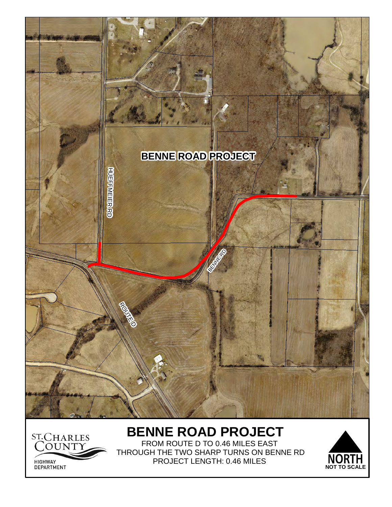

# ST.CHARLES HIGHWAY<br>DEPARTMENT

FROM ROUTE D TO 0.46 MILES EAST THROUGH THE TWO SHARP TURNS ON BENNE RD PROJECT LENGTH: 0.46 MILES

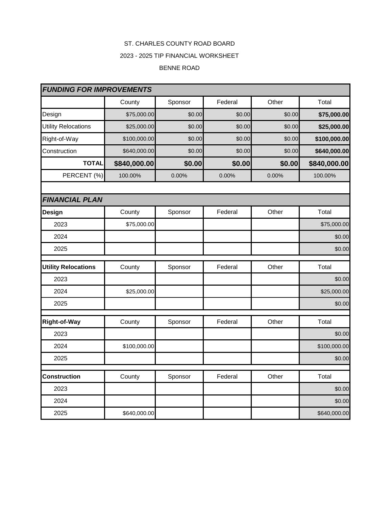# ST. CHARLES COUNTY ROAD BOARD

### 2023 - 2025 TIP FINANCIAL WORKSHEET

### BENNE ROAD

| <b>FUNDING FOR IMPROVEMENTS</b> |              |         |         |        |              |
|---------------------------------|--------------|---------|---------|--------|--------------|
|                                 | County       | Sponsor | Federal | Other  | Total        |
| Design                          | \$75,000.00  | \$0.00  | \$0.00  | \$0.00 | \$75,000.00  |
| <b>Utility Relocations</b>      | \$25,000.00  | \$0.00  | \$0.00  | \$0.00 | \$25,000.00  |
| Right-of-Way                    | \$100,000.00 | \$0.00  | \$0.00  | \$0.00 | \$100,000.00 |
| Construction                    | \$640,000.00 | \$0.00  | \$0.00  | \$0.00 | \$640,000.00 |
| <b>TOTAL</b>                    | \$840,000.00 | \$0.00  | \$0.00  | \$0.00 | \$840,000.00 |
| PERCENT (%)                     | 100.00%      | 0.00%   | 0.00%   | 0.00%  | 100.00%      |
|                                 |              |         |         |        |              |
| <b>FINANCIAL PLAN</b>           |              |         |         |        |              |
| <b>Design</b>                   | County       | Sponsor | Federal | Other  | Total        |
| 2023                            | \$75,000.00  |         |         |        | \$75,000.00  |
| 2024                            |              |         |         |        | \$0.00       |
| 2025                            |              |         |         |        | \$0.00       |
| <b>Utility Relocations</b>      | County       | Sponsor | Federal | Other  | Total        |
| 2023                            |              |         |         |        | \$0.00       |
| 2024                            | \$25,000.00  |         |         |        | \$25,000.00  |
| 2025                            |              |         |         |        | \$0.00       |
| <b>Right-of-Way</b>             | County       | Sponsor | Federal | Other  | Total        |
| 2023                            |              |         |         |        | \$0.00       |
| 2024                            | \$100,000.00 |         |         |        | \$100,000.00 |
| 2025                            |              |         |         |        | \$0.00       |
| <b>Construction</b>             | County       | Sponsor | Federal | Other  | Total        |
| 2023                            |              |         |         |        | \$0.00       |
| 2024                            |              |         |         |        | \$0.00       |
| 2025                            | \$640,000.00 |         |         |        | \$640,000.00 |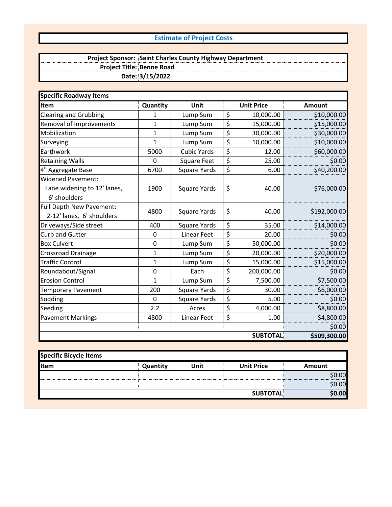## **Estimate of Project Costs**

#### **Project Sponsor: Project Title: Date: 3/15/2022 Saint Charles County Highway Department Benne Road**

| <b>Specific Roadway Items</b>                                           |                 |                     |                  |                   |               |
|-------------------------------------------------------------------------|-----------------|---------------------|------------------|-------------------|---------------|
| Item                                                                    | <b>Quantity</b> | Unit                |                  | <b>Unit Price</b> | <b>Amount</b> |
| <b>Clearing and Grubbing</b>                                            | 1               | Lump Sum            | \$               | 10,000.00         | \$10,000.00   |
| Removal of Improvements                                                 | 1               | Lump Sum            | \$               | 15,000.00         | \$15,000.00   |
| Mobilization                                                            | 1               | Lump Sum            | \$               | 30,000.00         | \$30,000.00   |
| Surveying                                                               | 1               | Lump Sum            | \$               | 10,000.00         | \$10,000.00   |
| Earthwork                                                               | 5000            | <b>Cubic Yards</b>  | \$               | 12.00             | \$60,000.00   |
| <b>Retaining Walls</b>                                                  | 0               | <b>Square Feet</b>  | \$               | 25.00             | \$0.00        |
| 4" Aggregate Base                                                       | 6700            | <b>Square Yards</b> | \$               | 6.00              | \$40,200.00   |
| <b>Widened Pavement:</b><br>Lane widening to 12' lanes,<br>6' shoulders | 1900            | <b>Square Yards</b> | \$               | 40.00             | \$76,000.00   |
| Full Depth New Pavement:<br>2-12' lanes, 6' shoulders                   | 4800            | <b>Square Yards</b> | \$               | 40.00             | \$192,000.00  |
| Driveways/Side street                                                   | 400             | Square Yards        | \$               | 35.00             | \$14,000.00   |
| <b>Curb and Gutter</b>                                                  | 0               | Linear Feet         | \$               | 20.00             | \$0.00        |
| <b>Box Culvert</b>                                                      | 0               | Lump Sum            | \$               | 50,000.00         | \$0.00        |
| <b>Crossroad Drainage</b>                                               | 1               | Lump Sum            | $\overline{\xi}$ | 20,000.00         | \$20,000.00   |
| <b>Traffic Control</b>                                                  | 1               | Lump Sum            | \$               | 15,000.00         | \$15,000.00   |
| Roundabout/Signal                                                       | 0               | Each                | \$               | 200,000.00        | \$0.00        |
| <b>Erosion Control</b>                                                  | $\mathbf{1}$    | Lump Sum            | \$               | 7,500.00          | \$7,500.00    |
| <b>Temporary Pavement</b>                                               | 200             | <b>Square Yards</b> | \$               | 30.00             | \$6,000.00    |
| Sodding                                                                 | 0               | <b>Square Yards</b> | \$               | 5.00              | \$0.00        |
| Seeding                                                                 | 2.2             | Acres               | \$               | 4,000.00          | \$8,800.00    |
| <b>Pavement Markings</b>                                                | 4800            | Linear Feet         | \$               | 1.00              | \$4,800.00    |
|                                                                         |                 |                     |                  |                   | \$0.00        |
|                                                                         |                 |                     |                  | <b>SUBTOTAL</b>   | \$509,300.00  |

| Specific Bicycle Items |          |      |                   |        |
|------------------------|----------|------|-------------------|--------|
| <b>Item</b>            | Quantity | Unit | <b>Unit Price</b> | Amount |
|                        |          |      |                   | 00l    |
|                        |          |      |                   | 0.005  |
|                        |          |      | <b>SUBTOTAL</b>   | 0.00l  |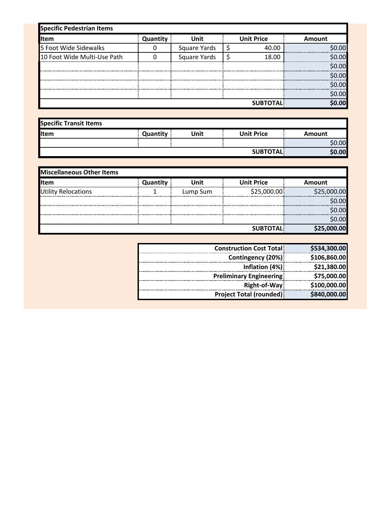| <b>Specific Pedestrian Items</b> |          |              |  |                   |         |
|----------------------------------|----------|--------------|--|-------------------|---------|
| <b>I</b> Item                    | Quantity | <b>Unit</b>  |  | <b>Unit Price</b> | Amount  |
| 5 Foot Wide Sidewalks            |          | Square Yards |  | 40.00             | \$0.00l |
| 10 Foot Wide Multi-Use Path      |          | Square Yards |  | 18.00             | \$0.00  |
|                                  |          |              |  |                   | \$0.00  |
|                                  |          |              |  |                   | \$0.00  |
|                                  |          |              |  |                   | \$0.00  |
|                                  |          |              |  |                   | \$0.00  |
|                                  |          |              |  | <b>SUBTOTAL</b>   | \$0.00l |

| <b>Specific Transit Items</b> |          |      |                   |        |
|-------------------------------|----------|------|-------------------|--------|
| <b>I</b> Item                 | Quantity | Unit | <b>Unit Price</b> | Amount |
|                               |          |      |                   | \$0.00 |
|                               |          |      | <b>SUBTOTAL</b>   | \$0.00 |

| <b>Miscellaneous Other Items</b> |          |          |                   |                  |
|----------------------------------|----------|----------|-------------------|------------------|
| <b>I</b> Item                    | Quantity | Unit     | <b>Unit Price</b> | <b>Amount</b>    |
| <b>Utility Relocations</b>       |          | Lump Sum | \$25,000.00       | \$25,000.00      |
|                                  |          |          |                   | .00 <sub>l</sub> |
|                                  |          |          |                   | .00 <sub>l</sub> |
|                                  |          |          |                   | \$0.00           |
|                                  |          |          | <b>SUBTOTAL</b>   | \$25,000.00      |

| <b>Construction Cost Total:</b> | \$534,300.00 |
|---------------------------------|--------------|
| Contingency (20%)               | \$106,860.00 |
| Inflation (4%)                  | \$21,380.00  |
| <b>Preliminary Engineering!</b> | \$75,000.00  |
| Right-of-Way                    | \$100,000.00 |
| <b>Project Total (rounded)</b>  | \$840,000.00 |
|                                 |              |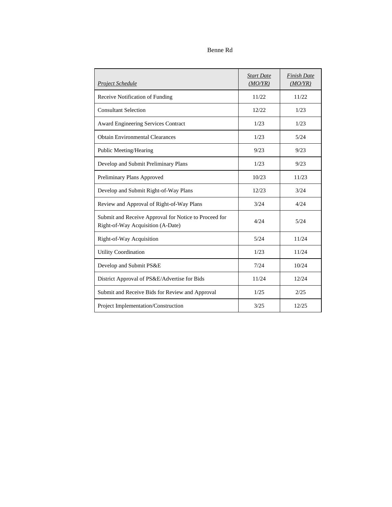### Benne Rd

| Project Schedule                                                                           | <b>Start Date</b><br>(MO/YR) | <b>Finish Date</b><br>(MO/YR) |
|--------------------------------------------------------------------------------------------|------------------------------|-------------------------------|
| Receive Notification of Funding                                                            | 11/22                        | 11/22                         |
| <b>Consultant Selection</b>                                                                | 12/22                        | 1/23                          |
| <b>Award Engineering Services Contract</b>                                                 | 1/23                         | 1/23                          |
| <b>Obtain Environmental Clearances</b>                                                     | 1/23                         | 5/24                          |
| Public Meeting/Hearing                                                                     | 9/23                         | 9/23                          |
| Develop and Submit Preliminary Plans                                                       | 1/23                         | 9/23                          |
| Preliminary Plans Approved                                                                 | 10/23                        | 11/23                         |
| Develop and Submit Right-of-Way Plans                                                      | 12/23                        | 3/24                          |
| Review and Approval of Right-of-Way Plans                                                  | 3/24                         | 4/24                          |
| Submit and Receive Approval for Notice to Proceed for<br>Right-of-Way Acquisition (A-Date) | 4/24                         | 5/24                          |
| Right-of-Way Acquisition                                                                   | 5/24                         | 11/24                         |
| <b>Utility Coordination</b>                                                                | 1/23                         | 11/24                         |
| Develop and Submit PS&E                                                                    | 7/24                         | 10/24                         |
| District Approval of PS&E/Advertise for Bids                                               | 11/24                        | 12/24                         |
| Submit and Receive Bids for Review and Approval                                            | 1/25                         | 2/25                          |
| Project Implementation/Construction                                                        | 3/25                         | 12/25                         |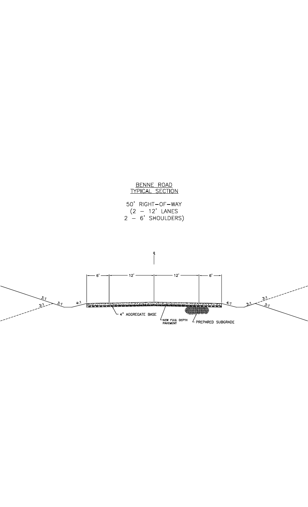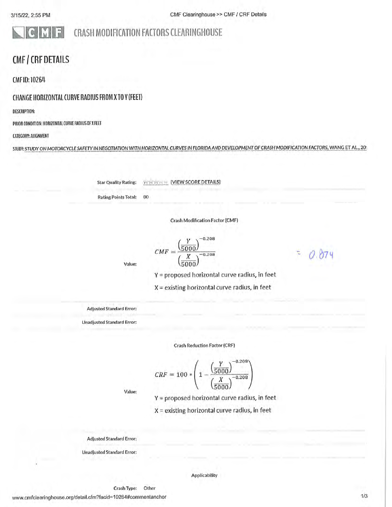ol

# CRASH MODIFICATION FACTORS CLEARINGHOUSE

# **CMF / CRF DETAILS**

CMF ID: 10264

### CHANGE HORIZONTAL CURVE RADIUS FROM X TO Y (FEET)

**DESCRIPTION:** 

PRIOR CONDITION: HORIZONTAL CURVE RADIUS OF X FEET

킈

### CATEGORY: ALIGNMENT

STUDY: STUDY ON MOTORCYCLE SAFETY IN NEGOTIATION WITH HORIZONTAL CURVES IN FLORIDA AND DEVELOPMENT OF CRASH MODIFICATION FACTORS, WANG ET AL., 20

**Star Quality Rating:** 

**FIDELIA (VIEW SCORE DETAILS)** 

**Rating Points Total:** 80

**Crash Modification Factor (CMF)** 

 $-0.208$ 

 $CMF = \frac{\left(\frac{1}{5000}\right)}{\left(\frac{X}{5000}\right)}$  $-0.208$ 

T.

Value:

Y = proposed horizontal curve radius, in feet

 $X =$  existing horizontal curve radius, in feet

**Adjusted Standard Error:** 

**Unadjusted Standard Error:** 

**Crash Reduction Factor (CRF)** 

$$
CRF = 100 * \left(1 - \frac{\left(\frac{Y}{5000}\right)^{-0.208}}{\left(\frac{X}{5000}\right)^{-0.208}}\right)
$$

Value:

Y = proposed horizontal curve radius, in feet

X = existing horizontal curve radius, in feet

**Adjusted Standard Error:** 

**Unadjusted Standard Error:** 

### **Applicability**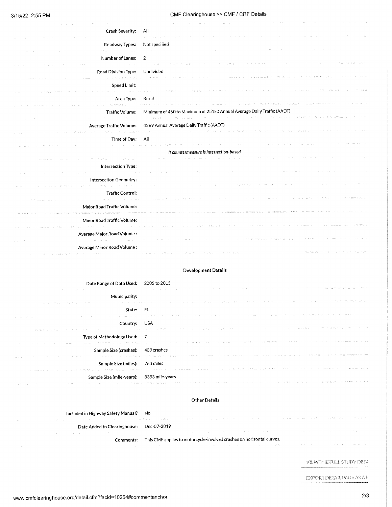### CMF Clearinghouse >> CMF / CRF Details

| Crash Severity:                                                                             | All                                                                                                                                                                                                                                                                                                                                                                                                         |
|---------------------------------------------------------------------------------------------|-------------------------------------------------------------------------------------------------------------------------------------------------------------------------------------------------------------------------------------------------------------------------------------------------------------------------------------------------------------------------------------------------------------|
|                                                                                             | Controlled Service                                                                                                                                                                                                                                                                                                                                                                                          |
| Roadway Types:                                                                              | Not specified                                                                                                                                                                                                                                                                                                                                                                                               |
| and the state and                                                                           |                                                                                                                                                                                                                                                                                                                                                                                                             |
| Number of Lanes:                                                                            | 2<br>a channel and a same<br>The Management of<br>The Constitution of the<br>Country of<br>control and process are pressure<br>in a community to control                                                                                                                                                                                                                                                    |
| zna i u<br>Road Division Type: Undivided                                                    |                                                                                                                                                                                                                                                                                                                                                                                                             |
|                                                                                             | state and in a target the series.                                                                                                                                                                                                                                                                                                                                                                           |
| <b>Speed Limit:</b>                                                                         |                                                                                                                                                                                                                                                                                                                                                                                                             |
|                                                                                             | Christian College                                                                                                                                                                                                                                                                                                                                                                                           |
| Area Type:                                                                                  | Rural<br>area when a line                                                                                                                                                                                                                                                                                                                                                                                   |
| in the program room in                                                                      |                                                                                                                                                                                                                                                                                                                                                                                                             |
| Traffic Volume:<br>control of the state of the                                              | Minimum of 460 to Maximum of 25180 Annual Average Daily Traffic (AADT)<br>in many program in the expectation of<br>control of the support of the second terms of the second second second second second second second second second second second second second second second second second second second second second second second second seco<br>recommendation to the article of<br>The Control of the |
|                                                                                             | Average Traffic Volume: 4269 Annual Average Daily Traffic (AADT)                                                                                                                                                                                                                                                                                                                                            |
|                                                                                             | The first product that the control of the second seconds.<br>The control of the state of<br>The Street Street Street                                                                                                                                                                                                                                                                                        |
| Time of Day:                                                                                | All                                                                                                                                                                                                                                                                                                                                                                                                         |
|                                                                                             | material process participants                                                                                                                                                                                                                                                                                                                                                                               |
|                                                                                             | If countermeasure is intersection-based                                                                                                                                                                                                                                                                                                                                                                     |
| and the company's com-                                                                      |                                                                                                                                                                                                                                                                                                                                                                                                             |
| Intersection Type:                                                                          | <b>Start</b>                                                                                                                                                                                                                                                                                                                                                                                                |
| Intersection Geometry:                                                                      |                                                                                                                                                                                                                                                                                                                                                                                                             |
| services in the service services of the decision<br>and the state of the<br>and the series. | The state with the<br>39,000,000<br>the control and<br>chain and the                                                                                                                                                                                                                                                                                                                                        |
| <b>Traffic Control:</b>                                                                     |                                                                                                                                                                                                                                                                                                                                                                                                             |
| material care in a conservation and                                                         | and not be                                                                                                                                                                                                                                                                                                                                                                                                  |
| Major Road Traffic Volume:                                                                  |                                                                                                                                                                                                                                                                                                                                                                                                             |
|                                                                                             |                                                                                                                                                                                                                                                                                                                                                                                                             |
| <b>Minor Road Traffic Volume:</b>                                                           |                                                                                                                                                                                                                                                                                                                                                                                                             |
|                                                                                             |                                                                                                                                                                                                                                                                                                                                                                                                             |
| Average Major Road Volume:                                                                  |                                                                                                                                                                                                                                                                                                                                                                                                             |
| Average Minor Road Volume:                                                                  |                                                                                                                                                                                                                                                                                                                                                                                                             |
|                                                                                             |                                                                                                                                                                                                                                                                                                                                                                                                             |

#### **Development Details**

| Date Range of Data Used: 2005 to 2015                                     |                                                                                                                                                                                                                                |
|---------------------------------------------------------------------------|--------------------------------------------------------------------------------------------------------------------------------------------------------------------------------------------------------------------------------|
| e da casa                                                                 | A 2011 CONTRACTOR CHARGE CONTRACTOR CONTRACTOR COMMUNICATION CONTRACTOR COMMUNICATION CONTRACTOR AND ANNOUNCEMENT                                                                                                              |
| Municipality:                                                             |                                                                                                                                                                                                                                |
|                                                                           | in and selected the control of the selection of the selection of the selected of the selection of the second construction of the second control of the second control of the second control of the second control of the secon |
| State: FL                                                                 |                                                                                                                                                                                                                                |
| the first control of the control of the<br>construction and the           | the component of the control of the control of the component of the control of the control of the second component of the                                                                                                      |
| Country: USA                                                              |                                                                                                                                                                                                                                |
|                                                                           | THE RESIDENCE CARDING THE COMPANY OF MESSAGE CONTROL CONTROL CONTROL CONTROL OF THE CONTROL CONTROL CONTROL OF THE CONTROL OF THE CONTROL OF THE CONTROL OF THE CONTROL OF THE CONTROL OF THE CONTROL OF THE CONTROL OF THE CO |
| Type of Methodology Used: 7                                               |                                                                                                                                                                                                                                |
| The Control                                                               | A ANNE A LOCAL A LA COMPRESSIÓN DE PROXIMIDADE DE PRODUCTO DE CARDINAL COMPRESSORA DE MENSIONES E PRODUCTOS ANEXES (MA                                                                                                         |
| Sample Size (crashes): 439 crashes                                        |                                                                                                                                                                                                                                |
| the committee and a structure of the state and a structure of<br>but buys | The Community of the Seminary Automatic Community of the Control of Automatic Property of Community of the Modern Property Property of the Modern Property Property of the Modern Property Property of the Modern Property of  |
| Sample Size (miles): 763 miles                                            |                                                                                                                                                                                                                                |
|                                                                           | AND THE RESERVED TO BE RESERVED FOR AND POSSIBILITY ORDER TO PROVIDE THE RESERVED OF THE CONTRACT OF A STATISTIC PROVIDING THE CONTRACTOR                                                                                      |
| Sample Size (mile-years): 8393 mile-years                                 |                                                                                                                                                                                                                                |
|                                                                           | The company's company of the company of the company of the services of the service of the company of the company of the company of the company of the company of the company of the company of the company of the company of t |

#### Other Details

| Included in Highway Safety Manual? | N٥ |
|------------------------------------|----|
|                                    |    |

Date Added to Clearinghouse: Dec-07-2019

Comments: This CMF applies to motorcycle-involved crashes on horizontal curves.

VIEW THE FULL STUDY DETA

EXPORT DETAIL PAGE AS A F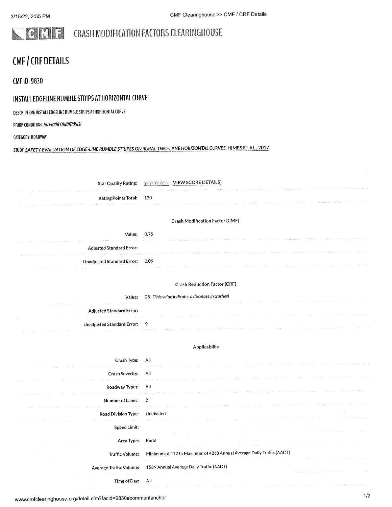#### **CRASH MODIFICATION FACTORS CLEARINGHOUSE** F

# **CMF / CRF DETAILS**

**CMF ID: 9830** 

# INSTALL EDGELINE RUMBLE STRIPS AT HORIZONTAL CURVE

DESCRIPTION: INSTALL EDGELINE RUMBLE STRIPS AT HORIZONTAL CURVE

PRIOR CONDITION: NO PRIOR CONDITION(S)

CATEGORY: ROADWAY

STUDY: SAFETY EVALUATION OF EDGE-LINE RUMBLE STRIPES ON RURAL TWO-LANE HORIZONTAL CURVES, HIMES ET AL., 2017

Star Quality Rating: Yest String [VIEW SCORE DETAILS] Rating Points Total: 120 **Crash Modification Factor (CMF)** Value: 0.75 Adjusted Standard Error: Unadjusted Standard Error: 0.09

### **Crash Reduction Factor (CRF)**

Value: 25 (This value indicates a decrease in crashes)

| progress with the company of the contractor of the company of the company of the company of the company of the | The same of the complete the second the contract of the contract of the contract of the second second contract of the contract of the contract of the contract of the contract of the contract of the contract of the contract                          |
|----------------------------------------------------------------------------------------------------------------|---------------------------------------------------------------------------------------------------------------------------------------------------------------------------------------------------------------------------------------------------------|
| Adjusted Standard Error:                                                                                       | consider the control of the state of the manufacture of the                                                                                                                                                                                             |
|                                                                                                                | ,这个人是一个人的人,我们的人,我们的人,我们也不是一个人,我们的人,我也不是一种地方,我们也不是一个人的人,我们也不是一个人的人,我们也不是一个人的人。                                                                                                                                                                           |
| Unadjusted Standard Error: 9                                                                                   | contract the contract<br>ing the company of the construction of the control of the control of the control of the construction of the control of the construction of the construction of the construction of the construction of the construction of the |

### Applicability

| Crash Type:                                                                            | All<br>a consideration de la construcción de la compactación de la contra de la compactación de la compactación de la                                                                                                                                                                              |
|----------------------------------------------------------------------------------------|----------------------------------------------------------------------------------------------------------------------------------------------------------------------------------------------------------------------------------------------------------------------------------------------------|
| Crash Severity: All<br>the control of the control of the                               | s provided to a progress and search each experience of the second except states of the search that search terms to the search of the                                                                                                                                                               |
| Roadway Types: All                                                                     | ilenin eda sol al servera a antikoma arman alemana este radioaren a edal en este a antikoma enda sen en en arm                                                                                                                                                                                     |
| Number of Lanes: 2                                                                     | од село издадават задово село междуните смита сели сели с мито измето века сели со село во видее со село в вито немогни                                                                                                                                                                            |
| Road Division Type: Undivided<br>the project of the control of the control of the most | in the comparative of the second and the control of the control of the control of the control of the control of the stretch                                                                                                                                                                        |
| Speed Limit:                                                                           | and the second company will be a second contract of the contract of the contract of the second second second state                                                                                                                                                                                 |
| Area Type: Rural<br>contract and the contract of<br><b>Contractor</b>                  | the company of the company of the company of the company of the company of the company of the company of the company                                                                                                                                                                               |
| Traffic Volume:<br><b>Contractor</b>                                                   | Minimum of 412 to Maximum of 4268 Annual Average Daily Traffic (AADT)<br>and the second control of the second control of the second second community of the second of the second second<br>and the pro-                                                                                            |
|                                                                                        | Average Traffic Volume: 1589 Annual Average Daily Traffic (AADT)<br>and which is a substantial contract of the second contract of the contract of the second complete the second contract of the second second contract of the second second contract of the second second second second second se |
| Time of Day: All                                                                       | and the company of the company of the state of the company of the company of the company of the company of the                                                                                                                                                                                     |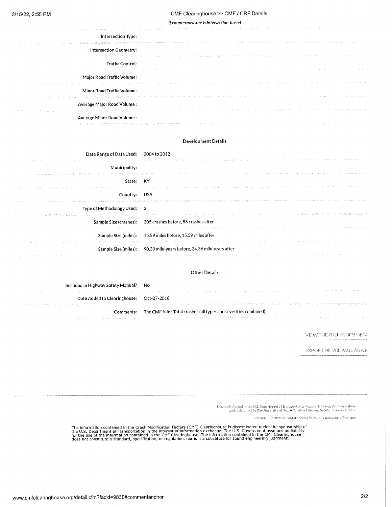#### CMF Clearinghouse >> CMF / CRF Details

#### If countermeasure is intersection-based

| a the same of the contract the most<br>distribution.                                                                                                | The China Andreas State Countries of the Countries of the Care and The Countries and the Countries of State Countries of the<br>control of the determination.<br>the state of the state of the state<br>and managers to decorate                                                        |
|-----------------------------------------------------------------------------------------------------------------------------------------------------|-----------------------------------------------------------------------------------------------------------------------------------------------------------------------------------------------------------------------------------------------------------------------------------------|
| Intersection Type:                                                                                                                                  |                                                                                                                                                                                                                                                                                         |
|                                                                                                                                                     | PERMILL AND INCOMERCY ASSESSMENT OF PERMILL A PARTNERS OF INFORMATION (ASSESSMENT OF STRUCKS AND ACTEDIAL ASSESSMENT OF THE ORIGINAL AND A CONTEMPTATION OF THE CONTEMPTATION OF THE CONTEMPTATION OF THE CONTEMPTATION OF THE                                                          |
| Intersection Geometry:                                                                                                                              |                                                                                                                                                                                                                                                                                         |
| the control of the control                                                                                                                          | The state will be the present that is also awarded that the<br>the control of the state and the control of the control of the state of the<br>the product of the company of the control of the control of the company and the company of the control of the                             |
| Traffic Control:                                                                                                                                    |                                                                                                                                                                                                                                                                                         |
| the project of the state of the state of the state of the state of the                                                                              | and the state of the<br>the company and the control<br>the expertise company<br>The company of the company<br>the March and Constitution<br>control of the control of the con-                                                                                                          |
| Major Road Traffic Volume:                                                                                                                          |                                                                                                                                                                                                                                                                                         |
| The property and the second the contract of the contract of the contract and the contract of the Article                                            | a de la califación de la contrada de la califación de la califación de la califación de la califación de la ca<br>the control of the product of the control of the control of the control of the<br>group of the company of the control of a statement of the first                     |
| Minor Road Traffic Volume:                                                                                                                          |                                                                                                                                                                                                                                                                                         |
|                                                                                                                                                     | PRODUCED POLICE REAL DEALERS PRESENT PROPERTY COMPANY COMMUNICATIONS CONTRACT PROPERTY OF STREET NO STREET OF THE STREET OF THE STREET                                                                                                                                                  |
| Average Major Road Volume:                                                                                                                          |                                                                                                                                                                                                                                                                                         |
| The programme of a warranteed to construct the control of the set of the set of the set of the set of the set<br>make the control make make the co- | and the control of the property of the control of the control of the control of the control of the members substantial control of the control of the control of the control of the control of the control of the control of th<br>the company of the control of the company of the com- |
| Average Minor Road Volume:                                                                                                                          |                                                                                                                                                                                                                                                                                         |
| a consistency is a model of property symptom potential terms of the problem.                                                                        | The community states were assembled and the states of the states of the<br>members for the second state of the form and the control of the state of the second state of the state of the state of                                                                                       |

### **Development Details**

| Date Range of Data Used: 2004 to 2012                                             |                                                                                                                                                                                                                                |
|-----------------------------------------------------------------------------------|--------------------------------------------------------------------------------------------------------------------------------------------------------------------------------------------------------------------------------|
|                                                                                   | Algebra (1992) And the State of the State State State of the State of the State and the State State of the State State State State State State State State State State State State State State State State State State State S |
| Municipality:                                                                     |                                                                                                                                                                                                                                |
| and may appeal appearance of the appearance of the manufacturer of the first term | The many components of progress and the constance of the communication of the communication of the constant of the communication of the constant of the constant of the constant of the constant of the constant of the consta |
| State: KY                                                                         |                                                                                                                                                                                                                                |
| and the con-                                                                      | The group week and the transformation of the constant of the community of a substitution of the community of the community of the community of the community of the community of the community of the community of the communi |
| Country: USA                                                                      |                                                                                                                                                                                                                                |
|                                                                                   |                                                                                                                                                                                                                                |
| Type of Methodology Used: 2                                                       |                                                                                                                                                                                                                                |
|                                                                                   | THE REPORT OF THE PERSON IN FILL STATES TO THE TERM WAS ARRESTED FOR THE TREE ROOM OF THE THE THE TRANSLIN OF THE THE TRANSPORTED AS                                                                                           |
|                                                                                   | Sample Size (crashes): 305 crashes before, 86 crashes after                                                                                                                                                                    |
|                                                                                   | A COUNTY OF A REPORT OF A REPORT OF THE RESIDENCE OF A RESIDENCE OF A RESIDENCE OF A RESIDENCE OF A RESIDENCE OF A RESIDENCE OF A RESIDENCE OF A RESIDENCE OF A RESIDENCE OF A RESIDENCE OF A RESIDENCE OF A RESIDENCE OF A RE |
|                                                                                   | Sample Size (miles): 15.59 miles before, 15.59 miles after                                                                                                                                                                     |
|                                                                                   | A SANGE COMPANY OF A STREET WAS TRANSPORTED TO A STREET AND TO A STREET TO A STREET A STREET OF A STREET AND THE STREET OF A STREET OF A STREET OF A STREET OF A STREET OF A STREET OF A STREET OF A STREET OF A STREET OF A S |
|                                                                                   | Sample Size (miles): 90.38 mile-years before, 34.36 mile-years after                                                                                                                                                           |
| considerable to a website and                                                     | The company of the second terms and the second constant of the second control we constant of the membership of the state of the state of the state of the state of the state of the state of the state of the state of the sta |

#### **Other Details**

|                                   | Included in Highway Safety Manual? No    |                                                                                                                                                                                                                                |
|-----------------------------------|------------------------------------------|--------------------------------------------------------------------------------------------------------------------------------------------------------------------------------------------------------------------------------|
| The company and provided the com- |                                          | The second company and company to the proposed of the transfer that the second company of the second in the second company of the second company of the second company of the second company of the second company of the seco |
|                                   | Date Added to Clearinghouse: Oct-27-2018 |                                                                                                                                                                                                                                |
|                                   |                                          | The Chapter of the Control of the Company of the Control of Constitution of the Company of the Constitution of the Constitution of the Constitution of the Constitution of the Constitution of the Constitution of the Constit |
|                                   |                                          | The CMF is for Total crashes (all types and severities combined).                                                                                                                                                              |
|                                   |                                          | The space of the company of the company well as the second and the second second second consequent to the second second second second second second second second second second second second second second second second seco |

### VIEW THE FULL STUDY DETA

EXPORT DETAIL PAGE AS A F

This suce is funded by the U.S. Department of Transportation Federal Highsvay Administration.<br>In and maintained by the University of North Carolina Highsvay Safety Research Center

For more information, contact Karen Scurry at karen.scurry@dot.gov

The information contained in the Crash Modification Factors (CMF) Clearinghouse is disseminated under the sponsorship of<br>the U.S. Department of Transportation in the interest of information exchange. The U.S. Government as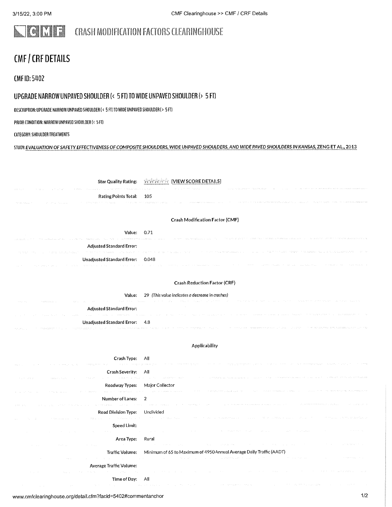### NCMF CRASH MODIFICATION FACTORS CLEARINGHOUSE

# CMF / CRF DETAILS

**CMF ID: 5402** 

## UPGRADE NARROW UNPAVED SHOULDER (< 5 FT) TO WIDE UNPAVED SHOULDER (> 5 FT)

### OESCRIPTION: UPGRADE NARROW UNPAVED SHOULDER (< 5 FT) TO WIOE UNPAVED SHOULDER (> 5 FT)

PRIOR CONDITION: NARROW UNPAVED SHOULDER (< 5 FT)

### CATEGORY: SHOULDER TREATMENTS

### STUOY: EVALUATION OF SAFETY EFFECTIVENESS OF COMPOSITE SHOULDERS, WIDE UNPAVED SHOULDERS, AND WIDE PAVED SHOULDERS IN KANSAS, ZENG ET AL., 2013

| <b>Star Quality Rating:</b>         | [VIEW SCORE DETAILS]<br>熱格外収益                                        |
|-------------------------------------|----------------------------------------------------------------------|
| Rating Points Total:                | 105                                                                  |
|                                     |                                                                      |
|                                     | Crash Modification Factor (CMF)                                      |
| Value: 0.71                         |                                                                      |
| <b>Adjusted Standard Error:</b>     |                                                                      |
| Unadjusted Standard Error:          | 0.048                                                                |
|                                     |                                                                      |
|                                     | <b>Crash Reduction Factor (CRF)</b>                                  |
| Value:                              | 29 (This value indicates a decrease in crashes)                      |
| <b>Adjusted Standard Error:</b>     |                                                                      |
| <b>Unadjusted Standard Error:</b>   | 4.8                                                                  |
| and states.                         |                                                                      |
|                                     | Applicability                                                        |
| Crash Type:                         | All                                                                  |
| <b>Crash Severity:</b>              | All                                                                  |
| <b>Contractor</b><br>Roadway Types: | Major Collector                                                      |
| Number of Lanes:                    | $\overline{2}$                                                       |
| Service St<br>Road Division Type:   | Undivided                                                            |
|                                     |                                                                      |
| Speed Limit:                        |                                                                      |
| Area Type:                          | Rural                                                                |
| <b>Traffic Volume:</b>              | Minimum of 65 to Maximum of 4950 Annual Average Daily Traffic (AADT) |
| Average Traffic Volume:             |                                                                      |
| Time of Day:                        | All                                                                  |
|                                     |                                                                      |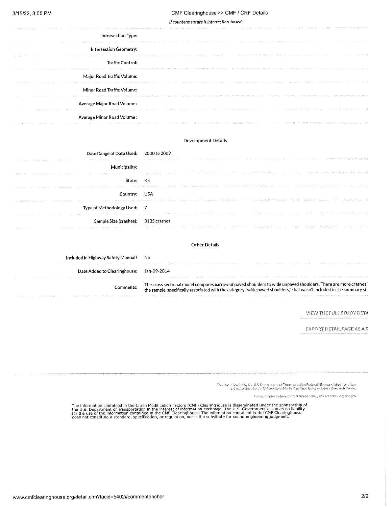#### CMF Clearinghouse >> CMF / CRF Details

If countermeasure is intersection-based

| ing response to the management with the matter of the con-<br>mount of the cut of countries and<br>a through the index about                                                                                                   | e egenar agresiv va esistes - va vituris va ranar mana valencemente va ranacció nacional nacional va constanto manarcamente mentre manarca                                                                                                                  |
|--------------------------------------------------------------------------------------------------------------------------------------------------------------------------------------------------------------------------------|-------------------------------------------------------------------------------------------------------------------------------------------------------------------------------------------------------------------------------------------------------------|
| Intersection Type:                                                                                                                                                                                                             |                                                                                                                                                                                                                                                             |
|                                                                                                                                                                                                                                |                                                                                                                                                                                                                                                             |
| Intersection Geometry:                                                                                                                                                                                                         |                                                                                                                                                                                                                                                             |
| individual control in the 20-                                                                                                                                                                                                  | contract of the state gas<br>The Control Section Control of Commentations and the Control of Control of Control of Control of Control of Control of Control of Control of Control of Control of Control of Control of Control of Control of Control of Cont |
| <b>Traffic Control:</b>                                                                                                                                                                                                        |                                                                                                                                                                                                                                                             |
|                                                                                                                                                                                                                                | ingly a composition the composition of the composition of the composition of the composition of the composition of the composition of the composition of the composition of the composition of the composition of the composit                              |
| Major Road Traffic Volume:                                                                                                                                                                                                     |                                                                                                                                                                                                                                                             |
|                                                                                                                                                                                                                                | TELEVISION TO THE RULE COLLECT AND RESONANCE AND THE CONSTRUCTION OF PERSONAL PROPERTY AND A SAMAL PROTECTIVE AND THE RESONANCE                                                                                                                             |
| Minor Road Traffic Volume:                                                                                                                                                                                                     |                                                                                                                                                                                                                                                             |
|                                                                                                                                                                                                                                | .  Player  . As the case them the component provide a component of the consequence in the component of the component of the component of the component of the component of the component of the component of the compone                                    |
| Average Major Road Volume:                                                                                                                                                                                                     |                                                                                                                                                                                                                                                             |
|                                                                                                                                                                                                                                | RESPONSES TO A RESPONSE TO MARKET PROSPER SOMEONE PROPORTIVE SOMETIME AND THE CONTRACTOR CONTRACTOR CONTRACTOR CONTRACTOR                                                                                                                                   |
| Average Minor Road Volume:                                                                                                                                                                                                     |                                                                                                                                                                                                                                                             |
| Research and the contract of the contract of the model with the contract of the contract of the contract of the contract of the contract of the contract of the contract of the contract of the contract of the contract of th |                                                                                                                                                                                                                                                             |
|                                                                                                                                                                                                                                |                                                                                                                                                                                                                                                             |

### **Development Details**

| Date Range of Data Used: 2000 to 2009 |                                                                                                                                                                                                                                |
|---------------------------------------|--------------------------------------------------------------------------------------------------------------------------------------------------------------------------------------------------------------------------------|
|                                       | The graving and the security of the second term of the second second and the community of the second second second second second second second second second second second second second second second second second second se |
| Municipality:                         |                                                                                                                                                                                                                                |
|                                       | THERE THE ENERGY PHONOMERS TO THE TERMS TO A STATE THE TERMS OF THE CONTRACT OF A STATE TO THE CONTRACT A STATE THAT THE RESIDENT PROPERTY AND RELEASED PROPERTY OF THE RELEASED OF THE RELEASED OF THE RELEASED OF THE RELEAS |
| State: KS                             |                                                                                                                                                                                                                                |
|                                       | TREASED FOR THE RESIDENCE OF THE CONTRACTOR CONTRACT OF THE CONTRACT CONTRACT CONTRACT CONTRACT CONTRACT CONTRACT CONTRACT CONTRACT OF A STREET OF A STREET OF A STREET OF A STREET OF A STREET OF A STREET OF A STREET OF A S |
| Country: USA                          |                                                                                                                                                                                                                                |
|                                       | 11 STREED, STATE CONSTRUERS THE COLOR CONTRACTOR STATE STATE OF STREET CONSTRUCTIONS SECTIONS AND THE CONSTRUCTION OF THE SECTION OF THE SECOND CONSTRUCTION OF THE CONSTRUCTION OF THE ORDER OF THE ORDER OF THE ORDER OF THE |
| Type of Methodology Used: 7           |                                                                                                                                                                                                                                |
|                                       | THE PROPERTY OF THE RESIDENCE OF THE RESIDENCE OF THE RESIDENCE OF THE RELEASED OF THE PROPERTY OF A RELEASED ON THE PROPERTY OF THE PROPERTY OF THE PROPERTY OF THE PROPERTY OF THE PROPERTY OF THE PROPERTY OF THE PROPERTY  |
| Sample Size (crashes): 3135 crashes   |                                                                                                                                                                                                                                |
| The state of the state of the         | is page in the same house of moneys has some server three house in the security in the three three three at a time of the set                                                                                                  |

#### **Other Details**

| Included in Highway Safety Manual? No    |                                                                                                                                                                                                                                        |
|------------------------------------------|----------------------------------------------------------------------------------------------------------------------------------------------------------------------------------------------------------------------------------------|
|                                          | The Contract Construction of the Construction of the Construction of the Construction of the Construction of the Construction of the Construction of the Construction of the Construction of the Construction of the Construct         |
| Date Added to Clearinghouse: Jan-09-2014 |                                                                                                                                                                                                                                        |
|                                          | The Colorador of the company of the company of the company of the controller of the control of the company of the company of the company of the company of the company of the control of the control of the control of the con         |
| Comments:                                | The cross sectional model compares narrow unpaved shoulders to wide unpaved shoulders. There are more crashes<br>the sample, specifically associated with the category "wide paved shoulders," that wasn't included in the summary sta |
|                                          | A 2012 THE REPORTED THE RESERVED PROPERTY OF A RESERVED THAT AN ARREST MANUFACTURE TO A PROPERTY OF THE CONSTRUCTION OF THE CONSTRUCTION OF THE CONSTRUCTION OF THE CONSTRUCTION OF THE CONSTRUCTION OF THE CONSTRUCTION OF TH         |

VIEW THE FULL STUDY DETA

EXPORT DETAIL PAGE AS A F

This site is funded by the U.S. Department of Transportation Federal Highway Administration<br>In the University of North Caralina Highway Safety Research Center

For more information, contact Karen Scurry at karen scurry@dot.gov

The information contained in the Crash Modification Factors (CMF) Clearinghouse is disseminated under the sponsorship of<br>the U.S. Department of Transportation in the interest of information exchange. The U.S. Government as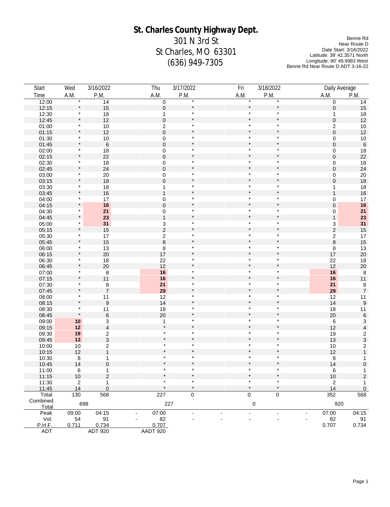# **St. Charles County Highway Dept.**

301 N 3rd St St Charles, MO 63301 (636) 949-7305

Benne Rd Near Route D Date Start: 3/16/2022 Latitude: 38' 42.3571 North Longitude: 90' 49.9983 West Benne Rd Near Route D ADT 3-16-22

| Start         | Wed                                    | 3/16/2022                              | Thu                                    | 3/17/2022                | Fri            | 3/18/2022          |                                        | Daily Average                                   |
|---------------|----------------------------------------|----------------------------------------|----------------------------------------|--------------------------|----------------|--------------------|----------------------------------------|-------------------------------------------------|
| Time          | A.M.                                   | P.M.                                   | A.M.                                   | P.M.                     | A.M.           | P.M.               | A.M.                                   | P.M.                                            |
| 12:00         | $\star$                                | 14                                     | $\pmb{0}$                              | $\star$                  | $\star$        | $\star$            | 0                                      | 14                                              |
| 12:15         | $\star$                                | 15                                     | $\pmb{0}$                              | $\star$                  |                | $\star$            | 0                                      | $15\,$                                          |
| 12:30         | $\ast$                                 | 18                                     | $\overline{1}$                         | $\star$                  |                | $\star$            | 1                                      | $18$                                            |
| 12:45         | $\star$                                | 12                                     | $\overline{0}$                         | $\pmb{\ast}$             |                | $\star$            | 0                                      | 12                                              |
| 01:00         | *                                      | $10$                                   |                                        | $\star$                  |                | $\star$            | $\overline{\mathbf{c}}$                | $10$                                            |
| 01:15         | $\star$                                | 12                                     | $\frac{2}{0}$                          | $\star$                  |                | $\star$            | 0                                      | 12                                              |
| 01:30         | $\star$                                |                                        | $\pmb{0}$                              | $\star$                  | $\star$        | $\star$            | 0                                      | $10\,$                                          |
| 01:45         | $\star$                                | $\begin{array}{c} 10 \\ 6 \end{array}$ | $\mathbf 0$                            | $\star$                  |                | $\star$            | $\mathsf 0$                            | $\,6\,$                                         |
| 02:00         | $\star$                                |                                        |                                        | $\star$                  |                | $\star$            | 0                                      | $18$                                            |
| 02:15         | $\star$                                | $\frac{18}{22}$                        | $\begin{matrix} 0 \\ 0 \end{matrix}$   | $\star$                  |                | $\star$            | $\mathsf 0$                            | 22                                              |
| 02:30         | $\pmb{\ast}$                           | 18                                     | 0                                      | $\star$                  |                | $\star$            | 0                                      | $18$                                            |
| 02:45         | $\star$                                | 24                                     | $\overline{0}$                         | $\star$                  |                | $\star$            | 0                                      | 24                                              |
| 03:00         | $\star$                                | $20\,$                                 | 0                                      | $\star$                  |                | $\star$            | 0                                      | $20\,$                                          |
| 03:15         | $\star$                                | 18                                     | $\mathbf 0$                            | $\star$                  |                | $\star$            | $\overline{0}$                         | $18$                                            |
| 03:30         | $\star$                                | 18                                     | $\mathbf{1}$                           | $\star$                  |                | $\star$            | 1                                      | $18$                                            |
| 03:45         | $\star$                                | 16                                     | $\mathbf{1}$                           | $\star$                  |                | $\star$            | $\mathbf{1}$                           | $16\,$                                          |
| 04:00         | *                                      | 17                                     | $\bf{0}$                               | $\ast$                   |                | $\star$            | 0                                      | $17\,$                                          |
| 04:15         |                                        | 16                                     | $\mathbf 0$                            | $\star$                  |                | $\star$            | 0                                      | ${\bf 16}$                                      |
| 04:30         | $\star$                                | 21                                     | $\pmb{0}$                              | $\star$                  | $\star$        | $\star$            | 0                                      | 21                                              |
| 04:45         | $\pmb{\ast}$                           | 23                                     | $\mathbf{1}$                           | $\star$                  |                | $\star$            | $\mathbf{1}$                           | 23                                              |
| 05:00         | $\star$                                | 31                                     |                                        | $\star$                  |                | $\star$            |                                        | 31                                              |
| 05:15         | $\star$                                | 15                                     | $\frac{3}{2}$                          | $\star$                  |                | $\star$            | $\frac{3}{2}$                          | 15                                              |
| 05:30         | $\star$                                | 17                                     |                                        | $\star$                  |                | $\star$            | $\overline{\mathbf{c}}$                | $17\,$                                          |
| 05:45         | $\star$                                | 15                                     | $\frac{2}{8}$                          | $\star$                  |                | $\star$            | $\bf 8$                                | 15                                              |
| 06:00         | $\star$                                | 13                                     |                                        | $\star$                  | $\star$        | $\star$            |                                        | 13                                              |
| 06:15         | $\star$                                | 20                                     | $\begin{array}{c} 8 \\ 17 \end{array}$ | $\star$                  |                | $\star$            | 8<br>17                                | $20\,$                                          |
|               | $\star$                                | 18                                     |                                        | $\star$                  |                | $\star$            |                                        |                                                 |
| 06:30         | $\star$                                |                                        | 22<br>12                               | $\star$                  |                | $\star$            | $22\,$<br>12                           | 18                                              |
| 06:45         | *                                      | 20                                     | 16                                     | $\star$                  |                | $\star$            | 16                                     | $20\,$<br>$\,$ 8 $\,$                           |
| 07:00         | $\star$                                | $\bf8$<br>11                           | 16                                     | $\star$                  |                | $\star$            |                                        |                                                 |
| 07:15         | $\star$                                |                                        |                                        | $\star$                  | $\star$        | $\star$            | 16                                     | $11$                                            |
| 07:30         | $\star$                                | $\bf{8}$<br>$\overline{7}$             | 21                                     | $\star$                  |                | $\star$            | 21                                     | $\bf 8$                                         |
| 07:45         | $\star$                                |                                        | 29                                     | $\star$                  | $\star$        | $\star$            | ${\bf 29}$                             | $\overline{7}$                                  |
| 08:00         | $\star$                                | 11                                     | 12                                     | $\star$                  |                | $\star$            | 12                                     | $11$                                            |
| 08:15         | $\star$                                | $\boldsymbol{9}$                       | 14                                     | $\star$                  |                | $\star$            | 14                                     | $\boldsymbol{9}$                                |
| 08:30         | $\star$                                | 11                                     | $18$                                   | $\star$                  |                | $\star$            | 18                                     | 11                                              |
| 08:45         |                                        | $\,$ 6 $\,$                            | 20                                     | $\star$                  | $\star$        | $\star$            | $20\,$                                 | $\,6\,$                                         |
| 09:00         | $10\,$                                 | 3                                      | $\mathbf{1}$<br>$\star$                | $\star$                  |                | $\star$            | 6                                      |                                                 |
| 09:15         | $12$                                   | $\overline{\mathbf{4}}$                | $\star$                                | $\star$                  |                | $\star$            | 12                                     | $\begin{array}{c} 3 \\ 4 \\ 2 \\ 3 \end{array}$ |
| 09:30         | 19                                     | $\overline{\mathbf{c}}$                | $\star$                                | $\star$                  |                | $\star$            | 19                                     |                                                 |
| 09:45         | 13                                     | $\overline{3}$                         |                                        |                          |                |                    | 13                                     |                                                 |
| 10:00         | $10\,$                                 | $\overline{\mathbf{c}}$                | $\star$<br>$\star$                     | $\star$<br>$\star$       | $\ast$         | $\star$<br>$\star$ | $10$                                   | $\begin{array}{c} 2 \\ 1 \end{array}$           |
| 10:15         | 12                                     | $\mathbf{1}$                           |                                        |                          |                | $\star$            | 12                                     |                                                 |
| 10:30         | $\begin{array}{c} 8 \\ 14 \end{array}$ | $\mathbf{1}$                           | $\star$                                | $\star$<br>$\star$       |                |                    | $\begin{array}{c} 8 \\ 14 \end{array}$ | $\overline{1}$                                  |
| 10:45         |                                        | $\pmb{0}$                              | $\star$                                | $\star$                  | $\star$        | $\star$<br>$\star$ |                                        | $\pmb{0}$                                       |
| 11:00         | 6                                      | 1                                      |                                        |                          |                |                    | 6                                      | $\mathbf{1}$                                    |
| 11:15         | 10                                     | $\overline{c}$                         |                                        |                          |                |                    | 10                                     | $\boldsymbol{2}$                                |
| 11:30         | $\overline{\mathbf{c}}$                | 1                                      |                                        |                          |                | $\star$            | 2                                      | 1                                               |
| 11:45         | 14                                     | $\pmb{0}$                              |                                        |                          |                |                    | 14                                     | $\overline{0}$                                  |
| Total         | 130                                    | 568                                    | 227                                    | $\mathbf 0$              | $\Omega$       | $\mathbf 0$        | 352                                    | 568                                             |
| Combined      | 698                                    |                                        |                                        | 227                      | $\pmb{0}$      |                    |                                        | 920                                             |
| Total         |                                        |                                        |                                        |                          |                |                    |                                        |                                                 |
| Peak          | 09:00                                  | 04:15                                  | 07:00<br>$\blacksquare$                | $\overline{\phantom{a}}$ | $\blacksquare$ | $\blacksquare$     | 07:00                                  | 04:15                                           |
| Vol.          | 54                                     | 91                                     | 82                                     |                          |                |                    | 82                                     | 91                                              |
| <b>P.H.F.</b> | 0.711                                  | 0.734                                  | 0.707                                  |                          |                |                    | 0.707                                  | 0.734                                           |
| ADT           |                                        | ADT 920                                | AADT 920                               |                          |                |                    |                                        |                                                 |